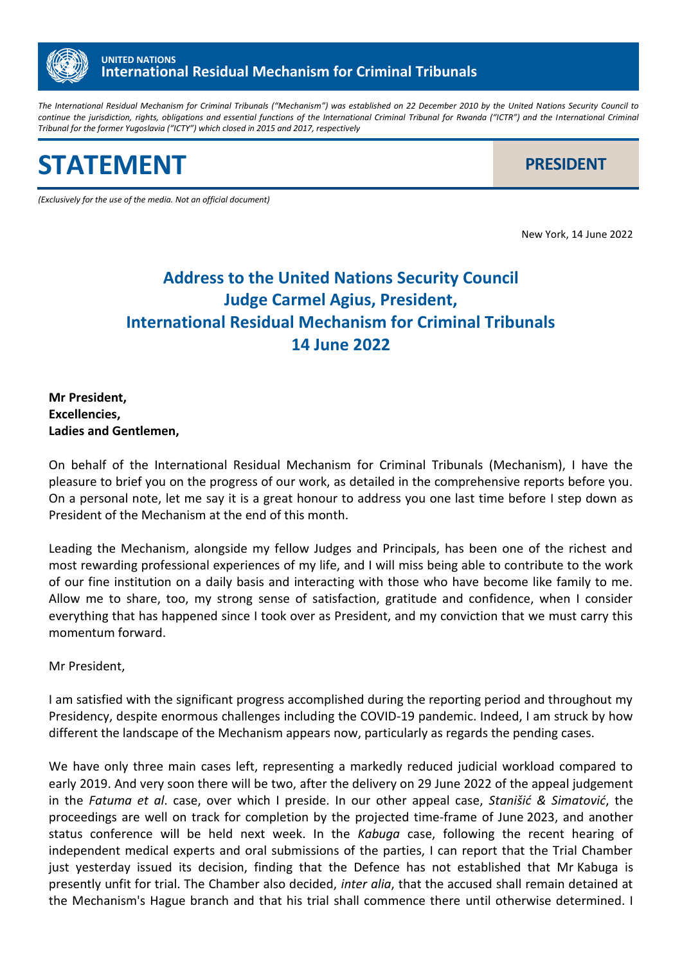

*The International Residual Mechanism for Criminal Tribunals ("Mechanism") was established on 22 December 2010 by the United Nations Security Council to continue the jurisdiction, rights, obligations and essential functions of the International Criminal Tribunal for Rwanda ("ICTR") and the International Criminal Tribunal for the former Yugoslavia ("ICTY") which closed in 2015 and 2017, respectively*



*(Exclusively for the use of the media. Not an official document)*

New York, 14 June 2022

## **Address to the United Nations Security Council Judge Carmel Agius, President, International Residual Mechanism for Criminal Tribunals 14 June 2022**

## **Mr President, Excellencies, Ladies and Gentlemen,**

On behalf of the International Residual Mechanism for Criminal Tribunals (Mechanism), I have the pleasure to brief you on the progress of our work, as detailed in the comprehensive reports before you. On a personal note, let me say it is a great honour to address you one last time before I step down as President of the Mechanism at the end of this month.

Leading the Mechanism, alongside my fellow Judges and Principals, has been one of the richest and most rewarding professional experiences of my life, and I will miss being able to contribute to the work of our fine institution on a daily basis and interacting with those who have become like family to me. Allow me to share, too, my strong sense of satisfaction, gratitude and confidence, when I consider everything that has happened since I took over as President, and my conviction that we must carry this momentum forward.

Mr President,

I am satisfied with the significant progress accomplished during the reporting period and throughout my Presidency, despite enormous challenges including the COVID-19 pandemic. Indeed, I am struck by how different the landscape of the Mechanism appears now, particularly as regards the pending cases.

We have only three main cases left, representing a markedly reduced judicial workload compared to early 2019. And very soon there will be two, after the delivery on 29 June 2022 of the appeal judgement in the *Fatuma et al*. case, over which I preside. In our other appeal case, *Stanišić & Simatović*, the proceedings are well on track for completion by the projected time-frame of June 2023, and another status conference will be held next week. In the *Kabuga* case, following the recent hearing of independent medical experts and oral submissions of the parties, I can report that the Trial Chamber just yesterday issued its decision, finding that the Defence has not established that Mr Kabuga is presently unfit for trial. The Chamber also decided, *inter alia*, that the accused shall remain detained at the Mechanism's Hague branch and that his trial shall commence there until otherwise determined. I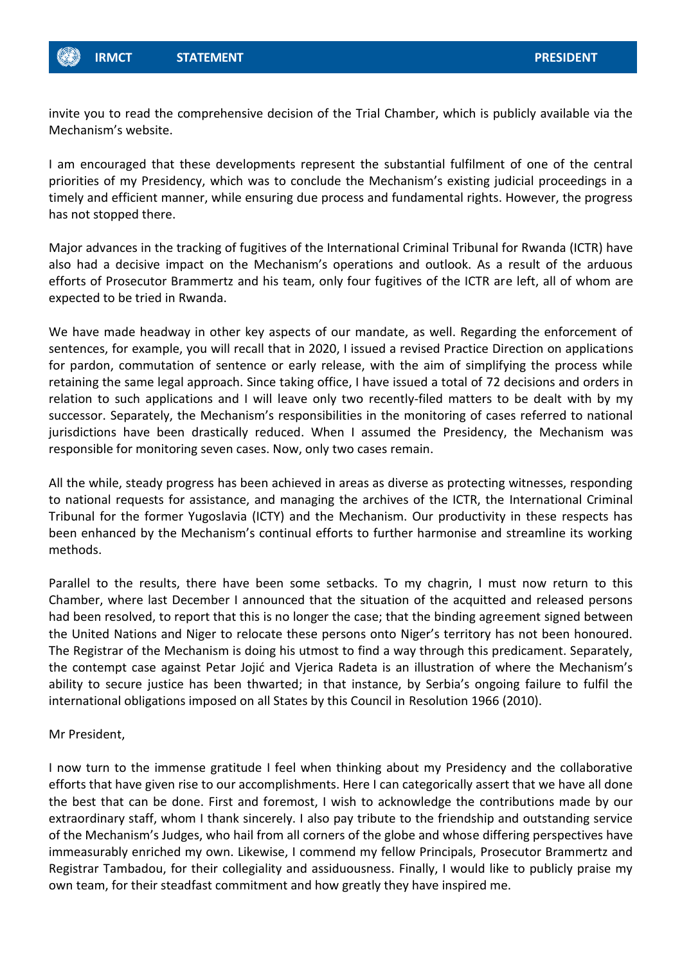

invite you to read the comprehensive decision of the Trial Chamber, which is publicly available via the Mechanism's website.

I am encouraged that these developments represent the substantial fulfilment of one of the central priorities of my Presidency, which was to conclude the Mechanism's existing judicial proceedings in a timely and efficient manner, while ensuring due process and fundamental rights. However, the progress has not stopped there.

Major advances in the tracking of fugitives of the International Criminal Tribunal for Rwanda (ICTR) have also had a decisive impact on the Mechanism's operations and outlook. As a result of the arduous efforts of Prosecutor Brammertz and his team, only four fugitives of the ICTR are left, all of whom are expected to be tried in Rwanda.

We have made headway in other key aspects of our mandate, as well. Regarding the enforcement of sentences, for example, you will recall that in 2020, I issued a revised Practice Direction on applications for pardon, commutation of sentence or early release, with the aim of simplifying the process while retaining the same legal approach. Since taking office, I have issued a total of 72 decisions and orders in relation to such applications and I will leave only two recently-filed matters to be dealt with by my successor. Separately, the Mechanism's responsibilities in the monitoring of cases referred to national jurisdictions have been drastically reduced. When I assumed the Presidency, the Mechanism was responsible for monitoring seven cases. Now, only two cases remain.

All the while, steady progress has been achieved in areas as diverse as protecting witnesses, responding to national requests for assistance, and managing the archives of the ICTR, the International Criminal Tribunal for the former Yugoslavia (ICTY) and the Mechanism. Our productivity in these respects has been enhanced by the Mechanism's continual efforts to further harmonise and streamline its working methods.

Parallel to the results, there have been some setbacks. To my chagrin, I must now return to this Chamber, where last December I announced that the situation of the acquitted and released persons had been resolved, to report that this is no longer the case; that the binding agreement signed between the United Nations and Niger to relocate these persons onto Niger's territory has not been honoured. The Registrar of the Mechanism is doing his utmost to find a way through this predicament. Separately, the contempt case against Petar Jojić and Vjerica Radeta is an illustration of where the Mechanism's ability to secure justice has been thwarted; in that instance, by Serbia's ongoing failure to fulfil the international obligations imposed on all States by this Council in Resolution 1966 (2010).

## Mr President,

I now turn to the immense gratitude I feel when thinking about my Presidency and the collaborative efforts that have given rise to our accomplishments. Here I can categorically assert that we have all done the best that can be done. First and foremost, I wish to acknowledge the contributions made by our extraordinary staff, whom I thank sincerely. I also pay tribute to the friendship and outstanding service of the Mechanism's Judges, who hail from all corners of the globe and whose differing perspectives have immeasurably enriched my own. Likewise, I commend my fellow Principals, Prosecutor Brammertz and Registrar Tambadou, for their collegiality and assiduousness. Finally, I would like to publicly praise my own team, for their steadfast commitment and how greatly they have inspired me.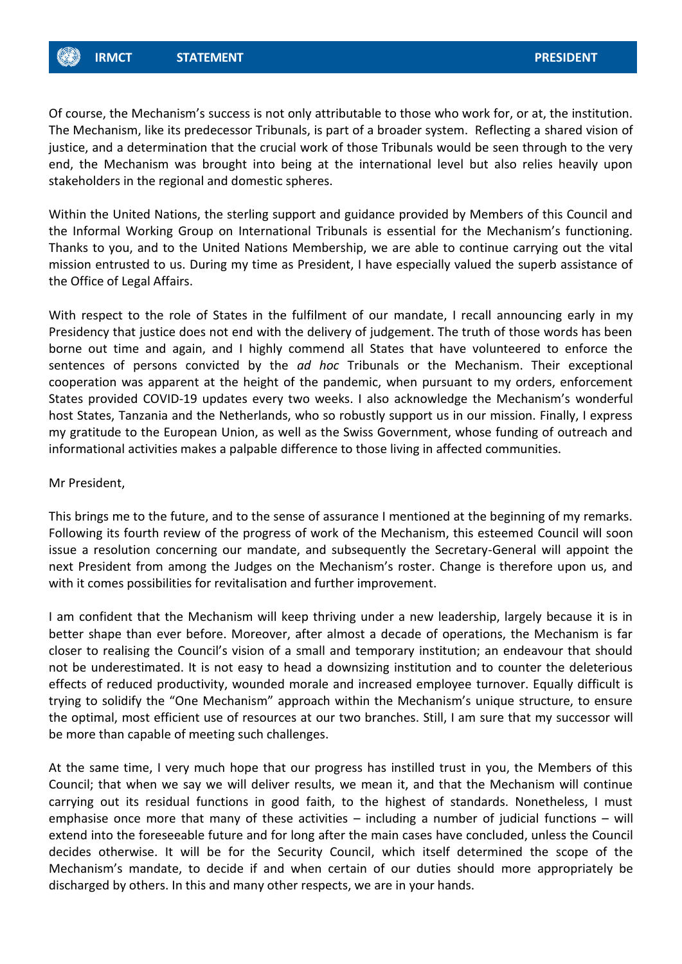Of course, the Mechanism's success is not only attributable to those who work for, or at, the institution. The Mechanism, like its predecessor Tribunals, is part of a broader system. Reflecting a shared vision of justice, and a determination that the crucial work of those Tribunals would be seen through to the very end, the Mechanism was brought into being at the international level but also relies heavily upon stakeholders in the regional and domestic spheres.

Within the United Nations, the sterling support and guidance provided by Members of this Council and the Informal Working Group on International Tribunals is essential for the Mechanism's functioning. Thanks to you, and to the United Nations Membership, we are able to continue carrying out the vital mission entrusted to us. During my time as President, I have especially valued the superb assistance of the Office of Legal Affairs.

With respect to the role of States in the fulfilment of our mandate, I recall announcing early in my Presidency that justice does not end with the delivery of judgement. The truth of those words has been borne out time and again, and I highly commend all States that have volunteered to enforce the sentences of persons convicted by the *ad hoc* Tribunals or the Mechanism. Their exceptional cooperation was apparent at the height of the pandemic, when pursuant to my orders, enforcement States provided COVID-19 updates every two weeks. I also acknowledge the Mechanism's wonderful host States, Tanzania and the Netherlands, who so robustly support us in our mission. Finally, I express my gratitude to the European Union, as well as the Swiss Government, whose funding of outreach and informational activities makes a palpable difference to those living in affected communities.

## Mr President,

This brings me to the future, and to the sense of assurance I mentioned at the beginning of my remarks. Following its fourth review of the progress of work of the Mechanism, this esteemed Council will soon issue a resolution concerning our mandate, and subsequently the Secretary-General will appoint the next President from among the Judges on the Mechanism's roster. Change is therefore upon us, and with it comes possibilities for revitalisation and further improvement.

I am confident that the Mechanism will keep thriving under a new leadership, largely because it is in better shape than ever before. Moreover, after almost a decade of operations, the Mechanism is far closer to realising the Council's vision of a small and temporary institution; an endeavour that should not be underestimated. It is not easy to head a downsizing institution and to counter the deleterious effects of reduced productivity, wounded morale and increased employee turnover. Equally difficult is trying to solidify the "One Mechanism" approach within the Mechanism's unique structure, to ensure the optimal, most efficient use of resources at our two branches. Still, I am sure that my successor will be more than capable of meeting such challenges.

At the same time, I very much hope that our progress has instilled trust in you, the Members of this Council; that when we say we will deliver results, we mean it, and that the Mechanism will continue carrying out its residual functions in good faith, to the highest of standards. Nonetheless, I must emphasise once more that many of these activities – including a number of judicial functions – will extend into the foreseeable future and for long after the main cases have concluded, unless the Council decides otherwise. It will be for the Security Council, which itself determined the scope of the Mechanism's mandate, to decide if and when certain of our duties should more appropriately be discharged by others. In this and many other respects, we are in your hands.